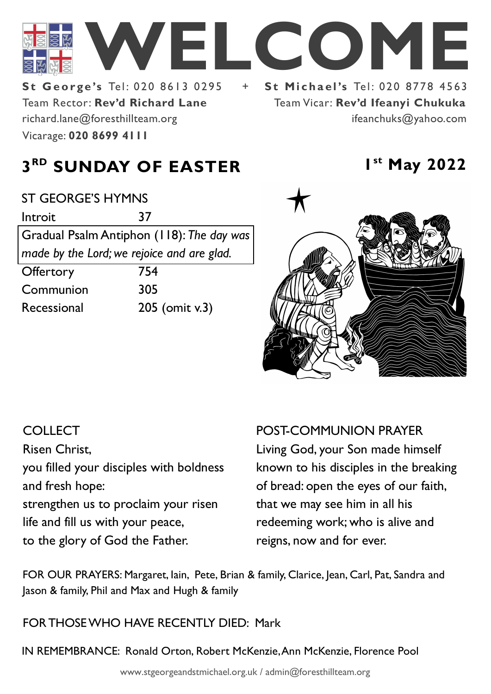

Team Rector: **Rev'd Richard Lane St George's Tel: 020 8613 0295** Vicarage: **020 8699 4111**  richard.lane@foresthillteam.org

Team Vicar: **Rev'd Ifeanyi Chukuka** ifeanchuks@yahoo.com

**st May 2022**

# **3 RD SUNDAY OF EASTER 1**

| <b>ST GEORGE'S HYMNS</b>                   |                |
|--------------------------------------------|----------------|
| Introit                                    | 37             |
| Gradual Psalm Antiphon (118): The day was  |                |
| made by the Lord; we rejoice and are glad. |                |
| Offertory                                  | 754            |
| Communion                                  | 305            |
| Recessional                                | 205 (omit v.3) |
|                                            |                |



#### **COLLECT**

Risen Christ,

you filled your disciples with boldness and fresh hope:

strengthen us to proclaim your risen life and fill us with your peace, to the glory of God the Father.

POST-COMMUNION PRAYER

Living God, your Son made himself known to his disciples in the breaking of bread: open the eyes of our faith, that we may see him in all his redeeming work; who is alive and reigns, now and for ever.

FOR OUR PRAYERS: Margaret, Iain, Pete, Brian & family, Clarice, Jean, Carl, Pat, Sandra and Jason & family, Phil and Max and Hugh & family

FOR THOSE WHO HAVE RECENTLY DIED: Mark

IN REMEMBRANCE: Ronald Orton, Robert McKenzie, Ann McKenzie, Florence Pool

www.stgeorgeandstmichael.org.uk / admin@foresthillteam.org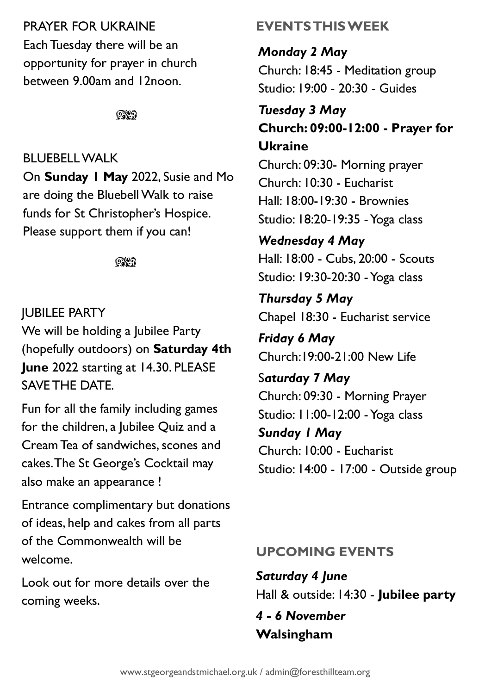### PRAYER FOR UKRAINE

Each Tuesday there will be an opportunity for prayer in church between 9.00am and 12noon.

 $@$ 

### BLUEBELL WALK

On **Sunday 1 May** 2022, Susie and Mo are doing the Bluebell Walk to raise funds for St Christopher's Hospice. Please support them if you can!

೧೪೧

## JUBILEE PARTY We will be holding a Jubilee Party (hopefully outdoors) on **Saturday 4th June** 2022 starting at 14.30. PLEASE SAVE THE DATE.

Fun for all the family including games for the children, a Jubilee Quiz and a Cream Tea of sandwiches, scones and cakes. The St George's Cocktail may also make an appearance !

Entrance complimentary but donations of ideas, help and cakes from all parts of the Commonwealth will be welcome.

Look out for more details over the coming weeks.

# **EVENTS THIS WEEK**

*Monday 2 May* Church: 18:45 - Meditation group Studio: 19:00 - 20:30 - Guides

## *Tuesday 3 May* **Church: 09:00-12:00 - Prayer for Ukraine**

Church: 09:30- Morning prayer Church: 10:30 - Eucharist Hall: 18:00-19:30 - Brownies Studio: 18:20-19:35 -Yoga class

## *Wednesday 4 May*

Hall: 18:00 - Cubs, 20:00 - Scouts Studio: 19:30-20:30 -Yoga class

## *Thursday 5 May* Chapel 18:30 - Eucharist service

*Friday 6 May* Church:19:00-21:00 New Life

# S*aturday 7 May* Church: 09:30 - Morning Prayer Studio: 11:00-12:00 -Yoga class *Sunday 1 May* Church: 10:00 - Eucharist Studio: 14:00 - 17:00 - Outside group

# **UPCOMING EVENTS**

*Saturday 4 June* Hall & outside: 14:30 - **Jubilee party**

### *4 - 6 November*  **Walsingham**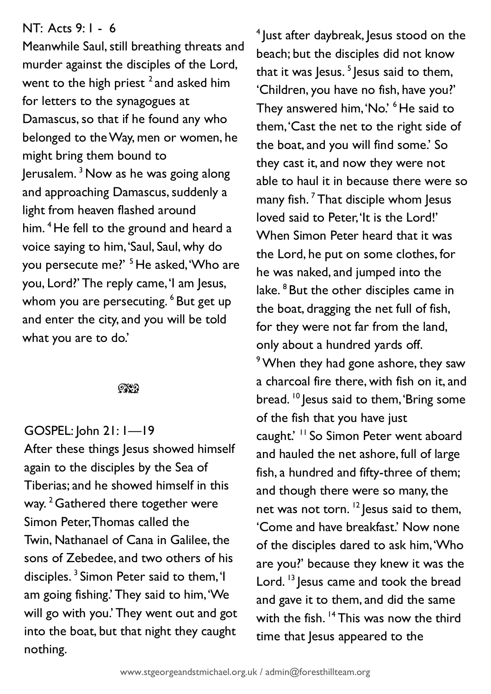#### NT: Acts 9: 1 - 6

Meanwhile Saul, still breathing threats and murder against the disciples of the Lord, went to the high priest  $^2$  and asked him for letters to the synagogues at Damascus, so that if he found any who belonged to the Way, men or women, he might bring them bound to Jerusalem.<sup>3</sup> Now as he was going along and approaching Damascus, suddenly a light from heaven flashed around him. <sup>4</sup> He fell to the ground and heard a voice saying to him, 'Saul, Saul, why do you persecute me?' <sup>5</sup> He asked, 'Who are you, Lord?' The reply came, 'I am Jesus, whom you are persecuting. <sup>6</sup> But get up and enter the city, and you will be told what you are to do.'

#### $@$

#### GOSPEL: John 21: 1—19

After these things Jesus showed himself again to the disciples by the Sea of Tiberias; and he showed himself in this way.<sup>2</sup> Gathered there together were Simon Peter, Thomas called the Twin, Nathanael of Cana in Galilee, the sons of Zebedee, and two others of his disciples. <sup>3</sup> Simon Peter said to them, 'I am going fishing.' They said to him, 'We will go with you.' They went out and got into the boat, but that night they caught nothing.

<sup>4</sup> Just after daybreak, Jesus stood on the beach; but the disciples did not know that it was Jesus.<sup>5</sup> Jesus said to them, 'Children, you have no fish, have you?' They answered him, 'No.' <sup>6</sup> He said to them, 'Cast the net to the right side of the boat, and you will find some.' So they cast it, and now they were not able to haul it in because there were so many fish.<sup> $7$ </sup> That disciple whom Jesus loved said to Peter, 'It is the Lord!' When Simon Peter heard that it was the Lord, he put on some clothes, for he was naked, and jumped into the lake. <sup>8</sup> But the other disciples came in the boat, dragging the net full of fish, for they were not far from the land, only about a hundred yards off. <sup>9</sup> When they had gone ashore, they saw a charcoal fire there, with fish on it, and bread. <sup>10</sup> Jesus said to them, 'Bring some of the fish that you have just caught.' <sup>11</sup> So Simon Peter went aboard and hauled the net ashore, full of large fish, a hundred and fifty-three of them; and though there were so many, the net was not torn.  $12$  lesus said to them, 'Come and have breakfast.' Now none of the disciples dared to ask him, 'Who are you?' because they knew it was the Lord.  $^{13}$  lesus came and took the bread and gave it to them, and did the same with the fish. <sup>14</sup> This was now the third time that Jesus appeared to the